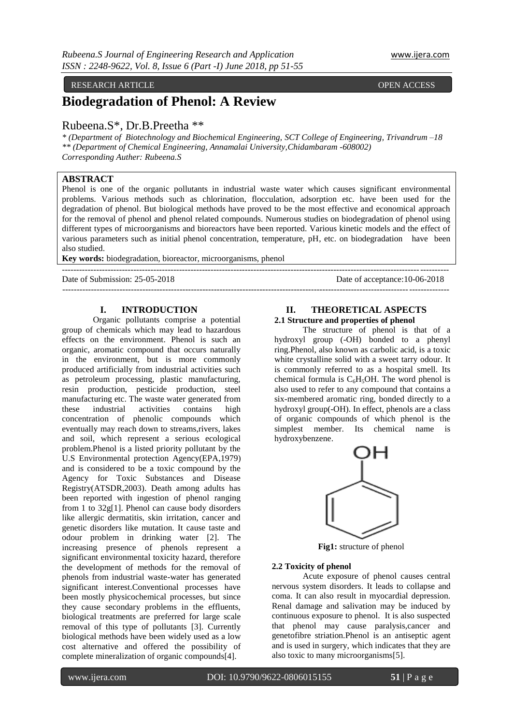#### RESEARCH ARTICLE **OPEN ACCESS**

# **Biodegradation of Phenol: A Review**

# Rubeena.S\*, Dr.B.Preetha \*\*

*\* (Department of Biotechnology and Biochemical Engineering, SCT College of Engineering, Trivandrum –18 \*\* (Department of Chemical Engineering, Annamalai University,Chidambaram -608002) Corresponding Auther: Rubeena.S*

# **ABSTRACT**

Phenol is one of the organic pollutants in industrial waste water which causes significant environmental problems. Various methods such as chlorination, flocculation, adsorption etc. have been used for the degradation of phenol. But biological methods have proved to be the most effective and economical approach for the removal of phenol and phenol related compounds. Numerous studies on biodegradation of phenol using different types of microorganisms and bioreactors have been reported. Various kinetic models and the effect of various parameters such as initial phenol concentration, temperature, pH, etc. on biodegradation have been also studied.

 $-+++++++++$ 

---------------------------------------------------------------------------------------------------------------------------------------

**Key words:** biodegradation, bioreactor, microorganisms, phenol

Date of Submission: 25-05-2018 Date of acceptance:10-06-2018

#### **I. INTRODUCTION**

Organic pollutants comprise a potential group of chemicals which may lead to hazardous effects on the environment. Phenol is such an organic, aromatic compound that occurs naturally in the environment, but is more commonly produced artificially from industrial activities such as petroleum processing, plastic manufacturing, resin production, pesticide production, steel manufacturing etc. The waste water generated from these industrial activities contains high concentration of phenolic compounds which eventually may reach down to streams,rivers, lakes and soil, which represent a serious ecological problem.Phenol is a listed priority pollutant by the U.S Environmental protection Agency(EPA,1979) and is considered to be a toxic compound by the Agency for Toxic Substances and Disease Registry(ATSDR,2003). Death among adults has been reported with ingestion of phenol ranging from 1 to 32g[1]. Phenol can cause body disorders like allergic dermatitis, skin irritation, cancer and genetic disorders like mutation. It cause taste and odour problem in drinking water [2]. The increasing presence of phenols represent a significant environmental toxicity hazard, therefore the development of methods for the removal of phenols from industrial waste-water has generated significant interest.Conventional processes have been mostly physicochemical processes, but since they cause secondary problems in the effluents, biological treatments are preferred for large scale removal of this type of pollutants [3]. Currently biological methods have been widely used as a low cost alternative and offered the possibility of complete mineralization of organic compounds[4].

#### **II. THEORETICAL ASPECTS 2.1 Structure and properties of phenol**

The structure of phenol is that of a hydroxyl group (-OH) bonded to a phenyl ring.Phenol, also known as carbolic acid, is a toxic white crystalline solid with a sweet tarry odour. It is commonly referred to as a hospital smell. Its chemical formula is  $C_6H_5OH$ . The word phenol is also used to refer to any compound that contains a six-membered aromatic ring, bonded directly to a hydroxyl group(-OH). In effect, phenols are a class of organic compounds of which phenol is the simplest member. Its chemical name is hydroxybenzene.



**Fig1:** structure of phenol

#### **2.2 Toxicity of phenol**

Acute exposure of phenol causes central nervous system disorders. It leads to collapse and coma. It can also result in myocardial depression. Renal damage and salivation may be induced by continuous exposure to phenol. It is also suspected that phenol may cause paralysis,cancer and genetofibre striation.Phenol is an antiseptic agent and is used in surgery, which indicates that they are also toxic to many microorganisms[5].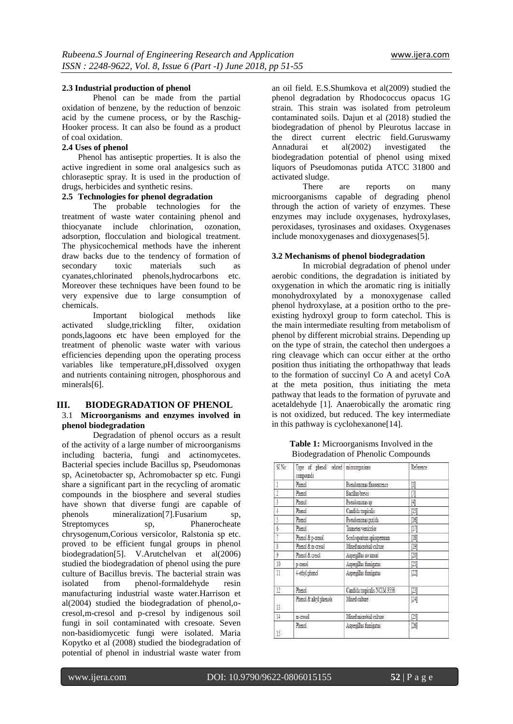### **2.3 Industrial production of phenol**

Phenol can be made from the partial oxidation of benzene, by the reduction of benzoic acid by the cumene process, or by the Raschig-Hooker process. It can also be found as a product of coal oxidation.

# **2.4 Uses of phenol**

Phenol has antiseptic properties. It is also the active ingredient in some oral analgesics such as chloraseptic spray. It is used in the production of drugs, herbicides and synthetic resins.

## **2.5 Technologies for phenol degradation**

The probable technologies for the treatment of waste water containing phenol and thiocyanate include chlorination, ozonation, adsorption, flocculation and biological treatment. The physicochemical methods have the inherent draw backs due to the tendency of formation of secondary toxic materials such as cyanates,chlorinated phenols,hydrocarbons etc. Moreover these techniques have been found to be very expensive due to large consumption of chemicals.

Important biological methods like activated sludge,trickling filter, oxidation ponds,lagoons etc have been employed for the treatment of phenolic waste water with various efficiencies depending upon the operating process variables like temperature,pH,dissolved oxygen and nutrients containing nitrogen, phosphorous and minerals[6].

# **III. BIODEGRADATION OF PHENOL**

# 3.1 **Microorganisms and enzymes involved in phenol biodegradation**

Degradation of phenol occurs as a result of the activity of a large number of microorganisms including bacteria, fungi and actinomycetes. Bacterial species include Bacillus sp, Pseudomonas sp, Acinetobacter sp, Achromobacter sp etc. Fungi share a significant part in the recycling of aromatic compounds in the biosphere and several studies have shown that diverse fungi are capable of phenols mineralization[7].Fusarium sp, Streptomyces sp, Phanerocheate chrysogenum,Corious versicolor, Ralstonia sp etc. proved to be efficient fungal groups in phenol biodegradation[5]. V.Arutchelvan et al(2006) studied the biodegradation of phenol using the pure culture of Bacillus brevis. The bacterial strain was isolated from phenol-formaldehyde resin manufacturing industrial waste water.Harrison et al(2004) studied the biodegradation of phenol,ocresol,m-cresol and p-cresol by indigenous soil fungi in soil contaminated with cresoate. Seven non-basidiomycetic fungi were isolated. Maria Kopytko et al (2008) studied the biodegradation of potential of phenol in industrial waste water from an oil field. E.S.Shumkova et al(2009) studied the phenol degradation by Rhodococcus opacus 1G strain. This strain was isolated from petroleum contaminated soils. Dajun et al (2018) studied the biodegradation of phenol by Pleurotus laccase in the direct current electric field.Guruswamy Annadurai et al(2002) investigated the biodegradation potential of phenol using mixed liquors of Pseudomonas putida ATCC 31800 and activated sludge.

There are reports on many microorganisms capable of degrading phenol through the action of variety of enzymes. These enzymes may include oxygenases, hydroxylases, peroxidases, tyrosinases and oxidases. Oxygenases include monoxygenases and dioxygenases[5].

### **3.2 Mechanisms of phenol biodegradation**

In microbial degradation of phenol under aerobic conditions, the degradation is initiated by oxygenation in which the aromatic ring is initially monohydroxylated by a monoxygenase called phenol hydroxylase, at a position ortho to the preexisting hydroxyl group to form catechol. This is the main intermediate resulting from metabolism of phenol by different microbial strains. Depending up on the type of strain, the catechol then undergoes a ring cleavage which can occur either at the ortho position thus initiating the orthopathway that leads to the formation of succinyl Co A and acetyl CoA at the meta position, thus initiating the meta pathway that leads to the formation of pyruvate and acetaldehyde [1]. Anaerobically the aromatic ring is not oxidized, but reduced. The key intermediate in this pathway is cyclohexanone[14].

**Table 1:** Microorganisms Involved in the Biodegradation of Phenolic Compounds

| Si No:               | Type of phenoli related microorganisms<br>compounds |                              | Reference                                                                                                                                                                                               |  |
|----------------------|-----------------------------------------------------|------------------------------|---------------------------------------------------------------------------------------------------------------------------------------------------------------------------------------------------------|--|
| 1                    | Phenol                                              | Pseudomonas finorescence     | I                                                                                                                                                                                                       |  |
| ž                    | Phenol                                              | Bacillus brevis              | J                                                                                                                                                                                                       |  |
| ĵ                    | Phenol                                              | Pseudomonas su               | H                                                                                                                                                                                                       |  |
| $\ddot{\phantom{1}}$ | Phenol                                              | Candida tropicalis           | $[!]% \centering \includegraphics[width=1.8\textwidth]{Figures/PQ11.png} \caption{The 3D (blue) and the 4D (blue) are shown in the left and right. The 4D (blue) is shown in the right.} \label{fig:1}$ |  |
| 5                    | Phenol                                              | Pseudomonas putida           | 1161                                                                                                                                                                                                    |  |
| $\bar{\mathfrak{b}}$ | Phenol                                              | Transtes versicolor          | m                                                                                                                                                                                                       |  |
| ĩ                    | Phenol & p-cresol                                   | Scedosporium apisspermam     | [18]                                                                                                                                                                                                    |  |
| ţ                    | Phenol & m-cresal                                   | Mixed microbial culture      | 闅                                                                                                                                                                                                       |  |
| ŷ                    | Phenol & cresol                                     | Aspergillus awamoni          | 闅                                                                                                                                                                                                       |  |
| 10                   | possi                                               | Aspergilus funigatus         | [20]                                                                                                                                                                                                    |  |
| II.                  | 4-etivi phenol                                      | Asperallus funigatus         | m,                                                                                                                                                                                                      |  |
| 12                   | Phenol                                              | Candida tropicalis NCIM 3556 | 朗                                                                                                                                                                                                       |  |
| B.                   | Phenol & alkyl phenols                              | Mixed culture                | 閞                                                                                                                                                                                                       |  |
| $\frac{11}{2}$       | n-cresal                                            | Mixed microbial culture      | [b]                                                                                                                                                                                                     |  |
| 15                   | Phenol                                              | Aspergilus funigatus         | 闠                                                                                                                                                                                                       |  |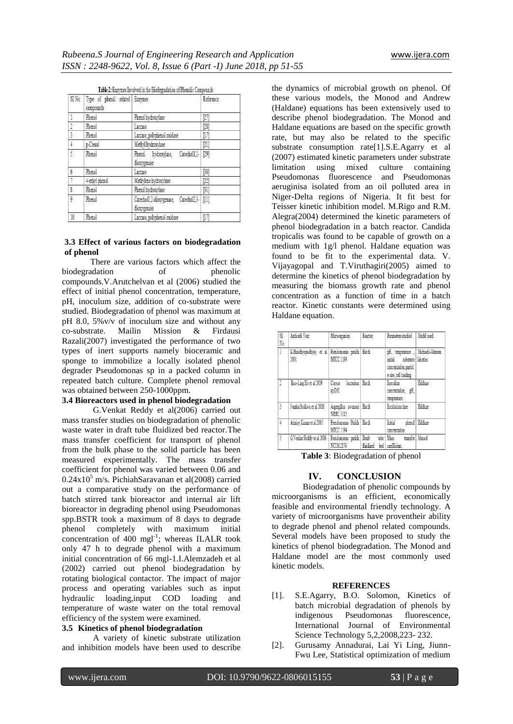|            | SINo: Type of phenol related Enzymes<br>compounds |                                                          | Reference<br>p, |
|------------|---------------------------------------------------|----------------------------------------------------------|-----------------|
| L          | Phenol                                            | Phenol Indooxylase                                       |                 |
| 3.         | Phend                                             | Lancase:                                                 | [28]            |
| ţ          | Patrol                                            | Laccase, polyphenol coidase                              | ŢМ              |
| $\ddagger$ | pCressi                                           | Methyl hydroxylase                                       |                 |
| ţ.         | Phend                                             | Phenol Invelopmentase, Catecholl,2- [29]<br>dimveenase   |                 |
| 6          | Panol                                             | Lanzae                                                   | [30]            |
| 7          | 4-ethyl pheasi                                    | Methylene hydroxylase                                    | [2]             |
| ß.         | Phenol                                            | Phenol hydroxylase                                       | [31]            |
| ŷ.         | Read                                              | Catecholl_2-dioxygenase, Catecholl_3- [11]<br>dimygenase |                 |
| 10         | Phenol                                            | Laccase, polyphenol onidase                              | m               |

### **3.3 Effect of various factors on biodegradation of phenol**

There are various factors which affect the biodegradation of phenolic compounds.V.Arutchelvan et al (2006) studied the effect of initial phenol concentration, temperature, pH, inoculum size, addition of co-substrate were studied. Biodegradation of phenol was maximum at pH 8.0, 5%v/v of inoculum size and without any co-substrate. Mailin Mission & Firdausi Razali(2007) investigated the performance of two types of inert supports namely bioceramic and sponge to immobilize a locally isolated phenol degrader Pseudomonas sp in a packed column in repeated batch culture. Complete phenol removal was obtained between 250-1000ppm.

## **3.4 Bioreactors used in phenol biodegradation**

G.Venkat Reddy et al(2006) carried out mass transfer studies on biodegradation of phenolic waste water in draft tube fluidized bed reactor.The mass transfer coefficient for transport of phenol from the bulk phase to the solid particle has been measured experimentally. The mass transfer coefficient for phenol was varied between 0.06 and  $0.24x10<sup>5</sup>$  m/s. PichiahSaravanan et al(2008) carried out a comparative study on the performance of batch stirred tank bioreactor and internal air lift bioreactor in degrading phenol using Pseudomonas spp.BSTR took a maximum of 8 days to degrade phenol completely with maximum initial concentration of  $400$  mgl<sup>-1</sup>; whereas ILALR took only 47 h to degrade phenol with a maximum initial concentration of 66 mgl-1.I.Alemzadeh et al (2002) carried out phenol biodegradation by rotating biological contactor. The impact of major process and operating variables such as input hydraulic loading,input COD loading and temperature of waste water on the total removal efficiency of the system were examined.

# **3.5 Kinetics of phenol biodegradation**

A variety of kinetic substrate utilization and inhibition models have been used to describe

the dynamics of microbial growth on phenol. Of these various models, the Monod and Andrew (Haldane) equations has been extensively used to describe phenol biodegradation. The Monod and Haldane equations are based on the specific growth rate, but may also be related to the specific substrate consumption rate[1].S.E.Agarry et al (2007) estimated kinetic parameters under substrate limitation using mixed culture containing Pseudomonas fluorescence and Pseudomonas aeruginisa isolated from an oil polluted area in Niger-Delta regions of Nigeria. It fit best for Teisser kinetic inhibition model. M.Rigo and R.M. Alegra(2004) determined the kinetic parameters of phenol biodegradation in a batch reactor. Candida tropicalis was found to be capable of growth on a medium with 1g/l phenol. Haldane equation was found to be fit to the experimental data. V. Vijayagopal and T.Viruthagiri(2005) aimed to determine the kinetics of phenol biodegradation by measuring the biomass growth rate and phenol concentration as a function of time in a batch reactor. Kinetic constants were determined using Haldane equation.

| S<br>Šτ | Authoric Year                                   | Моторовка                             | <b>Leader</b>              | Parameters studied   Model ased                                                                         |                |
|---------|-------------------------------------------------|---------------------------------------|----------------------------|---------------------------------------------------------------------------------------------------------|----------------|
|         | KBashyondryy et al Pendonese puide Bath<br>1905 | MOC1194                               |                            | při, temperature , Michaelis-Mesten<br>ana shtute inetis<br>concentration particl<br>e size odl loading |                |
|         | Kno-Ling He et al 2009                          | Caree Jacerim Batch<br>sill.          |                            | habitat<br>contratas pr.<br>emperature                                                                  | Hiday.         |
|         | Ivanlia Stoilova et al 2006                     | Aqendas avanci Batti<br>观虹 311        |                            | Incidentine                                                                                             | <b>Hiday</b>   |
|         | Arisier Konse et al. 2015                       | Rendoments Perida Ratch<br>MOC1194    |                            | hidd.<br>conceptator                                                                                    | thenel Haldane |
| î       | G Verkat Reddy et al 306                        | Pseudommas punkti Draft<br>WITH YES." | finitively had conditioned | trie Vos                                                                                                | trade Marad    |

**Table 3**: Biodegradation of phenol

# **IV. CONCLUSION**

Biodegradation of phenolic compounds by microorganisms is an efficient, economically feasible and environmental friendly technology. A variety of microorganisms have proventheir ability to degrade phenol and phenol related compounds. Several models have been proposed to study the kinetics of phenol biodegradation. The Monod and Haldane model are the most commonly used kinetic models.

#### **REFERENCES**

- [1]. S.E.Agarry, B.O. Solomon, Kinetics of batch microbial degradation of phenols by indigenous Pseudomonas fluorescence, International Journal of Environmental Science Technology 5,2,2008,223- 232.
- [2]. Gurusamy Annadurai, Lai Yi Ling, Jiunn-Fwu Lee, Statistical optimization of medium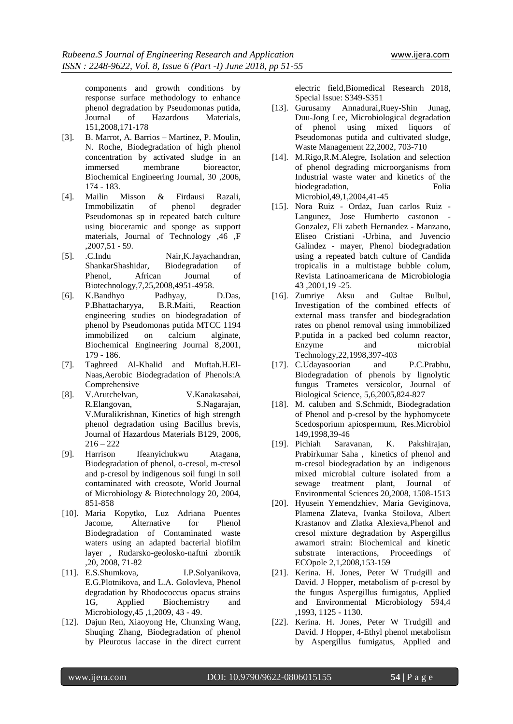components and growth conditions by response surface methodology to enhance phenol degradation by Pseudomonas putida, Journal of Hazardous Materials, 151,2008,171-178

- [3]. B. Marrot, A. Barrios Martinez, P. Moulin, N. Roche, Biodegradation of high phenol concentration by activated sludge in an immersed membrane bioreactor, Biochemical Engineering Journal, 30 ,2006, 174 - 183.
- [4]. Mailin Misson & Firdausi Razali, Immobilizatin of phenol degrader Pseudomonas sp in repeated batch culture using bioceramic and sponge as support materials, Journal of Technology ,46 ,F ,2007,51 - 59.
- [5]. .C.Indu Nair,K.Jayachandran, ShankarShashidar, Biodegradation of Phenol, African Journal of Biotechnology,7,25,2008,4951-4958.
- [6]. K.Bandhyo Padhyay, D.Das, P.Bhattacharyya, B.R.Maiti, Reaction engineering studies on biodegradation of phenol by Pseudomonas putida MTCC 1194 immobilized on calcium alginate, Biochemical Engineering Journal 8,2001, 179 - 186.
- [7]. Taghreed Al-Khalid and Muftah.H.El-Naas,Aerobic Biodegradation of Phenols:A Comprehensive
- [8]. V.Arutchelvan, V.Kanakasabai, R.Elangovan, S.Nagarajan, V.Muralikrishnan, Kinetics of high strength phenol degradation using Bacillus brevis, Journal of Hazardous Materials B129, 2006,  $216 - 222$
- [9]. Harrison Ifeanyichukwu Atagana, Biodegradation of phenol, o-cresol, m-cresol and p-cresol by indigenous soil fungi in soil contaminated with creosote, World Journal of Microbiology & Biotechnology 20, 2004, 851-858
- [10]. Maria Kopytko, Luz Adriana Puentes Jacome, Alternative for Phenol Biodegradation of Contaminated waste waters using an adapted bacterial biofilm layer , Rudarsko-geolosko-naftni zbornik ,20, 2008, 71-82
- [11]. E.S.Shumkova, I.P.Solyanikova, E.G.Plotnikova, and L.A. Golovleva, Phenol degradation by Rhodococcus opacus strains 1G, Applied Biochemistry and Microbiology,45 ,1,2009, 43 - 49.
- [12]. Dajun Ren, Xiaoyong He, Chunxing Wang, Shuqing Zhang, Biodegradation of phenol by Pleurotus laccase in the direct current

electric field,Biomedical Research 2018, Special Issue: S349-S351

- [13]. Gurusamy Annadurai,Ruey-Shin Junag, Duu-Jong Lee, Microbiological degradation of phenol using mixed liquors of Pseudomonas putida and cultivated sludge, Waste Management 22,2002, 703-710
- [14]. M.Rigo, R.M.Alegre, Isolation and selection of phenol degrading microorganisms from Industrial waste water and kinetics of the biodegradation, Folia Microbiol,49,1,2004,41-45
- [15]. Nora Ruiz Ordaz, Juan carlos Ruiz Langunez, Jose Humberto castonon - Gonzalez, Eli zabeth Hernandez - Manzano, Eliseo Cristiani -Urbina, and Juvencio Galindez - mayer, Phenol biodegradation using a repeated batch culture of Candida tropicalis in a multistage bubble colum, Revista Latinoamericana de Microbiologia 43 ,2001,19 -25.
- [16]. Zumriye Aksu and Gultae Bulbul, Investigation of the combined effects of external mass transfer and biodegradation rates on phenol removal using immobilized P.putida in a packed bed column reactor, Enzyme and microbial Technology,22,1998,397-403
- [17]. C.Udayasoorian and P.C.Prabhu, Biodegradation of phenols by lignolytic fungus Trametes versicolor, Journal of Biological Science, 5,6,2005,824-827
- [18]. M. caluben and S.Schmidt, Biodegradation of Phenol and p-cresol by the hyphomycete Scedosporium apiospermum, Res.Microbiol 149,1998,39-46
- [19]. Pichiah Saravanan, K. Pakshirajan, Prabirkumar Saha , kinetics of phenol and m-cresol biodegradation by an indigenous mixed microbial culture isolated from a sewage treatment plant, Journal of Environmental Sciences 20,2008, 1508-1513
- [20]. Hyusein Yemendzhiev, Maria Geviginova, Plamena Zlateva, Ivanka Stoilova, Albert Krastanov and Zlatka Alexieva,Phenol and cresol mixture degradation by Aspergillus awamori strain: Biochemical and kinetic substrate interactions, Proceedings of ECOpole 2,1,2008,153-159
- [21]. Kerina. H. Jones, Peter W Trudgill and David. J Hopper, metabolism of p-cresol by the fungus Aspergillus fumigatus, Applied and Environmental Microbiology 594,4 ,1993, 1125 - 1130.
- [22]. Kerina. H. Jones, Peter W Trudgill and David. J Hopper, 4-Ethyl phenol metabolism by Aspergillus fumigatus, Applied and